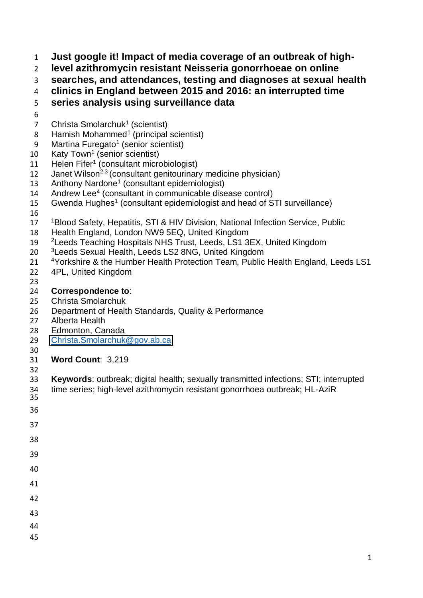**Just google it! Impact of media coverage of an outbreak of high-**

**level azithromycin resistant Neisseria gonorrhoeae on online** 

**searches, and attendances, testing and diagnoses at sexual health** 

**clinics in England between 2015 and 2016: an interrupted time** 

# **series analysis using surveillance data**

- 
- 7 Christa Smolarchuk<sup>1</sup> (scientist)
- 8 Hamish Mohammed<sup>1</sup> (principal scientist)
- 9 Martina Furegato<sup>1</sup> (senior scientist)
- 10 Katy Town<sup>1</sup> (senior scientist)
- 11 Helen Fifer<sup>1</sup> (consultant microbiologist)
- 12 Janet Wilson<sup>2,3</sup> (consultant genitourinary medicine physician)
- 13 Anthony Nardone<sup>1</sup> (consultant epidemiologist)
- 14 Andrew Lee<sup>4</sup> (consultant in communicable disease control)
- 15 Gwenda Hughes<sup>1</sup> (consultant epidemiologist and head of STI surveillance)
- 
- 17 <sup>1</sup> Blood Safety, Hepatitis, STI & HIV Division, National Infection Service, Public
- Health England, London NW9 5EQ, United Kingdom
- 19 <sup>2</sup> Leeds Teaching Hospitals NHS Trust, Leeds, LS1 3EX, United Kingdom
- 20 <sup>3</sup> Leeds Sexual Health, Leeds LS2 8NG, United Kingdom
- 21 <sup>4</sup> Yorkshire & the Humber Health Protection Team, Public Health England, Leeds LS1 4PL, United Kingdom
- 

# **Correspondence to**:

- Christa Smolarchuk
- Department of Health Standards, Quality & Performance
- Alberta Health
- Edmonton, Canada
- [Christa.Smolarchuk@gov.ab.ca](mailto:Christa.Smolarchuk@gov.ab.ca)
- 
- **Word Count**: 3,219
- 
- **Keywords**: outbreak; digital health; sexually transmitted infections; STI; interrupted
- time series; high-level azithromycin resistant gonorrhoea outbreak; HL-AziR 34<br>35
- 
- 
- 
- 
- 
- 
- 
- 
- 
- 
- 
-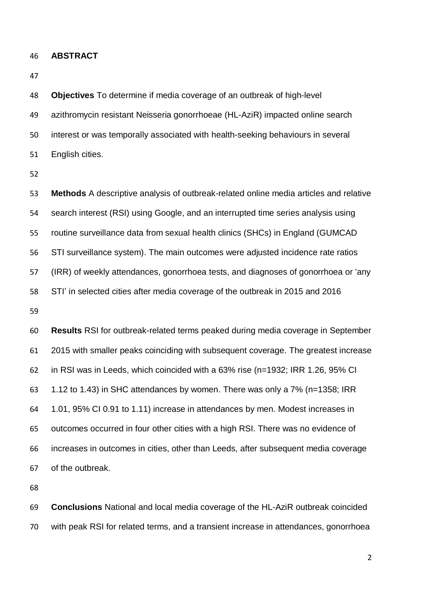**ABSTRACT** 

 **Objectives** To determine if media coverage of an outbreak of high-level azithromycin resistant Neisseria gonorrhoeae (HL-AziR) impacted online search interest or was temporally associated with health-seeking behaviours in several English cities.

 **Methods** A descriptive analysis of outbreak-related online media articles and relative search interest (RSI) using Google, and an interrupted time series analysis using routine surveillance data from sexual health clinics (SHCs) in England (GUMCAD STI surveillance system). The main outcomes were adjusted incidence rate ratios (IRR) of weekly attendances, gonorrhoea tests, and diagnoses of gonorrhoea or 'any STI' in selected cities after media coverage of the outbreak in 2015 and 2016

 **Results** RSI for outbreak-related terms peaked during media coverage in September 2015 with smaller peaks coinciding with subsequent coverage. The greatest increase in RSI was in Leeds, which coincided with a 63% rise (n=1932; IRR 1.26, 95% CI 1.12 to 1.43) in SHC attendances by women. There was only a 7% (n=1358; IRR 1.01, 95% CI 0.91 to 1.11) increase in attendances by men. Modest increases in outcomes occurred in four other cities with a high RSI. There was no evidence of increases in outcomes in cities, other than Leeds, after subsequent media coverage of the outbreak.

 **Conclusions** National and local media coverage of the HL-AziR outbreak coincided with peak RSI for related terms, and a transient increase in attendances, gonorrhoea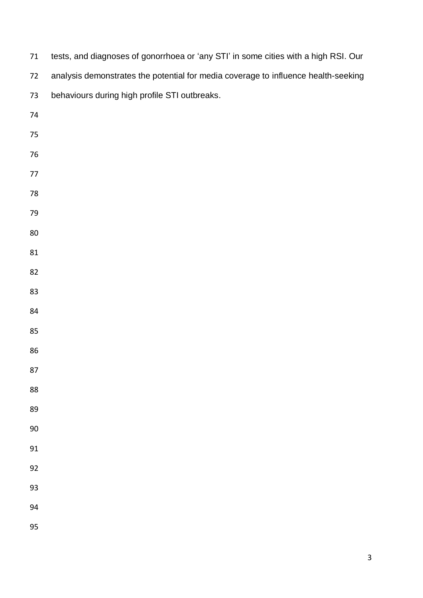| $71\,$ | tests, and diagnoses of gonorrhoea or 'any STI' in some cities with a high RSI. Our |
|--------|-------------------------------------------------------------------------------------|
| 72     | analysis demonstrates the potential for media coverage to influence health-seeking  |
| 73     | behaviours during high profile STI outbreaks.                                       |
| 74     |                                                                                     |
| $75\,$ |                                                                                     |
| $76\,$ |                                                                                     |
| 77     |                                                                                     |
| 78     |                                                                                     |
| 79     |                                                                                     |
| $80\,$ |                                                                                     |
| 81     |                                                                                     |
| 82     |                                                                                     |
| 83     |                                                                                     |
| 84     |                                                                                     |
| 85     |                                                                                     |
| 86     |                                                                                     |
| 87     |                                                                                     |
| 88     |                                                                                     |
| 89     |                                                                                     |
| $90\,$ |                                                                                     |
| 91     |                                                                                     |
| 92     |                                                                                     |
| 93     |                                                                                     |
| 94     |                                                                                     |
| 95     |                                                                                     |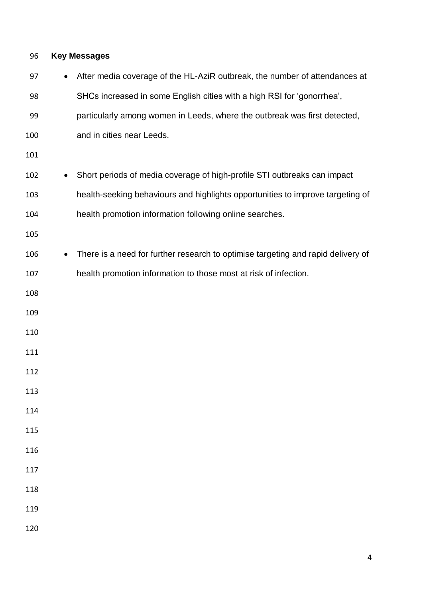# **Key Messages**

| 97  | $\bullet$ | After media coverage of the HL-AziR outbreak, the number of attendances at       |
|-----|-----------|----------------------------------------------------------------------------------|
| 98  |           | SHCs increased in some English cities with a high RSI for 'gonorrhea',           |
| 99  |           | particularly among women in Leeds, where the outbreak was first detected,        |
| 100 |           | and in cities near Leeds.                                                        |
| 101 |           |                                                                                  |
| 102 | $\bullet$ | Short periods of media coverage of high-profile STI outbreaks can impact         |
| 103 |           | health-seeking behaviours and highlights opportunities to improve targeting of   |
| 104 |           | health promotion information following online searches.                          |
| 105 |           |                                                                                  |
| 106 | $\bullet$ | There is a need for further research to optimise targeting and rapid delivery of |
| 107 |           | health promotion information to those most at risk of infection.                 |
| 108 |           |                                                                                  |
| 109 |           |                                                                                  |
| 110 |           |                                                                                  |
| 111 |           |                                                                                  |
| 112 |           |                                                                                  |
| 113 |           |                                                                                  |
| 114 |           |                                                                                  |
| 115 |           |                                                                                  |
| 116 |           |                                                                                  |
| 117 |           |                                                                                  |
| 118 |           |                                                                                  |
| 119 |           |                                                                                  |
| 120 |           |                                                                                  |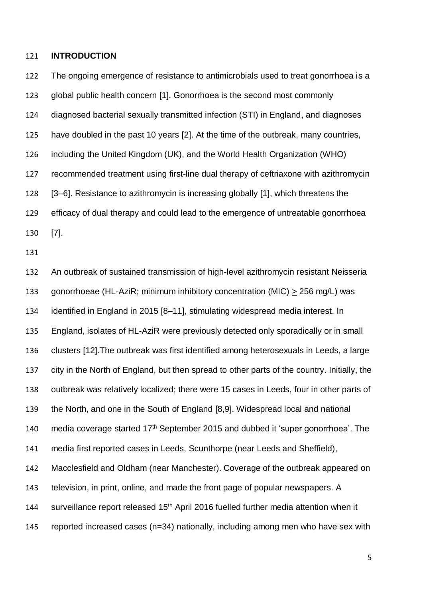#### **INTRODUCTION**

 The ongoing emergence of resistance to antimicrobials used to treat gonorrhoea is a global public health concern [1]. Gonorrhoea is the second most commonly diagnosed bacterial sexually transmitted infection (STI) in England, and diagnoses have doubled in the past 10 years [2]. At the time of the outbreak, many countries, including the United Kingdom (UK), and the World Health Organization (WHO) recommended treatment using first-line dual therapy of ceftriaxone with azithromycin [3–6]. Resistance to azithromycin is increasing globally [1], which threatens the efficacy of dual therapy and could lead to the emergence of untreatable gonorrhoea [7]. An outbreak of sustained transmission of high-level azithromycin resistant Neisseria gonorrhoeae (HL-AziR; minimum inhibitory concentration (MIC) > 256 mg/L) was identified in England in 2015 [8–11], stimulating widespread media interest. In England, isolates of HL-AziR were previously detected only sporadically or in small clusters [12].The outbreak was first identified among heterosexuals in Leeds, a large

 city in the North of England, but then spread to other parts of the country. Initially, the outbreak was relatively localized; there were 15 cases in Leeds, four in other parts of the North, and one in the South of England [8,9]. Widespread local and national

140 media coverage started  $17<sup>th</sup>$  September 2015 and dubbed it 'super gonorrhoea'. The

media first reported cases in Leeds, Scunthorpe (near Leeds and Sheffield),

 Macclesfield and Oldham (near Manchester). Coverage of the outbreak appeared on television, in print, online, and made the front page of popular newspapers. A

144 Surveillance report released 15<sup>th</sup> April 2016 fuelled further media attention when it

reported increased cases (n=34) nationally, including among men who have sex with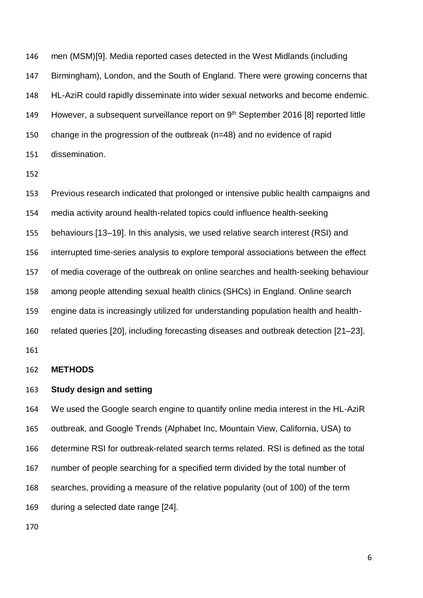men (MSM)[9]. Media reported cases detected in the West Midlands (including Birmingham), London, and the South of England. There were growing concerns that HL-AziR could rapidly disseminate into wider sexual networks and become endemic. 149 However, a subsequent surveillance report on 9<sup>th</sup> September 2016 [8] reported little change in the progression of the outbreak (n=48) and no evidence of rapid dissemination.

 Previous research indicated that prolonged or intensive public health campaigns and media activity around health-related topics could influence health-seeking behaviours [13–19]. In this analysis, we used relative search interest (RSI) and interrupted time-series analysis to explore temporal associations between the effect of media coverage of the outbreak on online searches and health-seeking behaviour among people attending sexual health clinics (SHCs) in England. Online search engine data is increasingly utilized for understanding population health and health- related queries [20], including forecasting diseases and outbreak detection [21–23]. 

**METHODS** 

#### **Study design and setting**

 We used the Google search engine to quantify online media interest in the HL-AziR outbreak, and Google Trends (Alphabet Inc, Mountain View, California, USA) to determine RSI for outbreak-related search terms related. RSI is defined as the total number of people searching for a specified term divided by the total number of searches, providing a measure of the relative popularity (out of 100) of the term during a selected date range [24].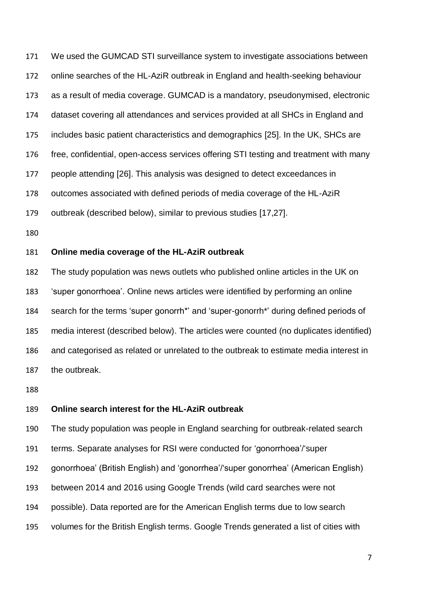We used the GUMCAD STI surveillance system to investigate associations between online searches of the HL-AziR outbreak in England and health-seeking behaviour as a result of media coverage. GUMCAD is a mandatory, pseudonymised, electronic dataset covering all attendances and services provided at all SHCs in England and includes basic patient characteristics and demographics [25]. In the UK, SHCs are free, confidential, open-access services offering STI testing and treatment with many people attending [26]. This analysis was designed to detect exceedances in outcomes associated with defined periods of media coverage of the HL-AziR outbreak (described below), similar to previous studies [17,27].

# **Online media coverage of the HL-AziR outbreak**

 The study population was news outlets who published online articles in the UK on 'super gonorrhoea'. Online news articles were identified by performing an online search for the terms 'super gonorrh\*' and 'super-gonorrh\*' during defined periods of media interest (described below). The articles were counted (no duplicates identified) and categorised as related or unrelated to the outbreak to estimate media interest in the outbreak.

# **Online search interest for the HL-AziR outbreak**

The study population was people in England searching for outbreak-related search

- terms. Separate analyses for RSI were conducted for 'gonorrhoea'/'super
- gonorrhoea' (British English) and 'gonorrhea'/'super gonorrhea' (American English)
- between 2014 and 2016 using Google Trends (wild card searches were not
- possible). Data reported are for the American English terms due to low search
- volumes for the British English terms. Google Trends generated a list of cities with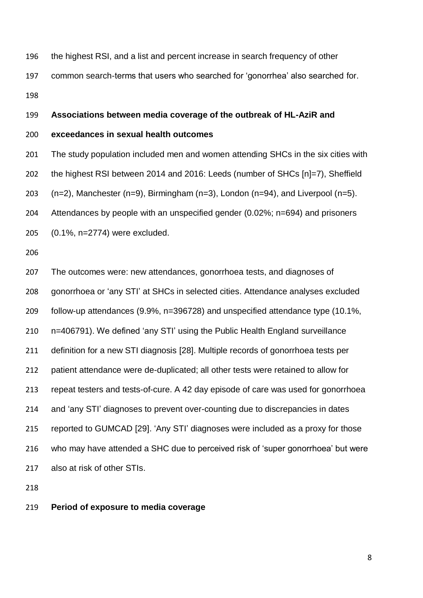the highest RSI, and a list and percent increase in search frequency of other common search-terms that users who searched for 'gonorrhea' also searched for. 

**Associations between media coverage of the outbreak of HL-AziR and** 

# **exceedances in sexual health outcomes**

 The study population included men and women attending SHCs in the six cities with the highest RSI between 2014 and 2016: Leeds (number of SHCs [n]=7), Sheffield  $(n=2)$ , Manchester  $(n=9)$ , Birmingham  $(n=3)$ , London  $(n=94)$ , and Liverpool  $(n=5)$ . Attendances by people with an unspecified gender (0.02%; n=694) and prisoners (0.1%, n=2774) were excluded.

 The outcomes were: new attendances, gonorrhoea tests, and diagnoses of gonorrhoea or 'any STI' at SHCs in selected cities. Attendance analyses excluded follow-up attendances (9.9%, n=396728) and unspecified attendance type (10.1%, n=406791). We defined 'any STI' using the Public Health England surveillance definition for a new STI diagnosis [28]. Multiple records of gonorrhoea tests per patient attendance were de-duplicated; all other tests were retained to allow for repeat testers and tests-of-cure. A 42 day episode of care was used for gonorrhoea and 'any STI' diagnoses to prevent over-counting due to discrepancies in dates reported to GUMCAD [29]. 'Any STI' diagnoses were included as a proxy for those who may have attended a SHC due to perceived risk of 'super gonorrhoea' but were also at risk of other STIs.

## **Period of exposure to media coverage**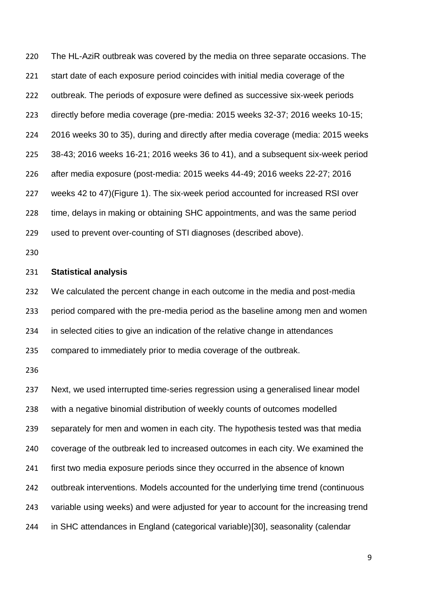The HL-AziR outbreak was covered by the media on three separate occasions. The start date of each exposure period coincides with initial media coverage of the outbreak. The periods of exposure were defined as successive six-week periods directly before media coverage (pre-media: 2015 weeks 32-37; 2016 weeks 10-15; 2016 weeks 30 to 35), during and directly after media coverage (media: 2015 weeks 38-43; 2016 weeks 16-21; 2016 weeks 36 to 41), and a subsequent six-week period after media exposure (post-media: 2015 weeks 44-49; 2016 weeks 22-27; 2016 weeks 42 to 47)(Figure 1). The six-week period accounted for increased RSI over time, delays in making or obtaining SHC appointments, and was the same period used to prevent over-counting of STI diagnoses (described above).

## **Statistical analysis**

 We calculated the percent change in each outcome in the media and post-media period compared with the pre-media period as the baseline among men and women in selected cities to give an indication of the relative change in attendances compared to immediately prior to media coverage of the outbreak.

 Next, we used interrupted time-series regression using a generalised linear model with a negative binomial distribution of weekly counts of outcomes modelled separately for men and women in each city. The hypothesis tested was that media coverage of the outbreak led to increased outcomes in each city. We examined the first two media exposure periods since they occurred in the absence of known outbreak interventions. Models accounted for the underlying time trend (continuous variable using weeks) and were adjusted for year to account for the increasing trend in SHC attendances in England (categorical variable)[30], seasonality (calendar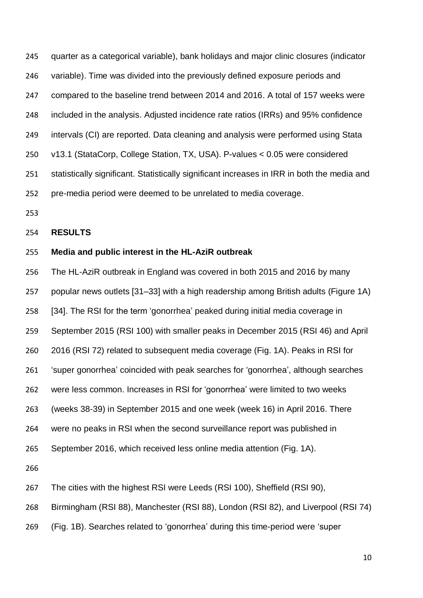quarter as a categorical variable), bank holidays and major clinic closures (indicator variable). Time was divided into the previously defined exposure periods and compared to the baseline trend between 2014 and 2016. A total of 157 weeks were included in the analysis. Adjusted incidence rate ratios (IRRs) and 95% confidence intervals (CI) are reported. Data cleaning and analysis were performed using Stata v13.1 (StataCorp, College Station, TX, USA). P-values < 0.05 were considered statistically significant. Statistically significant increases in IRR in both the media and pre-media period were deemed to be unrelated to media coverage.

#### **RESULTS**

## **Media and public interest in the HL-AziR outbreak**

 The HL-AziR outbreak in England was covered in both 2015 and 2016 by many popular news outlets [31–33] with a high readership among British adults (Figure 1A) [34]. The RSI for the term 'gonorrhea' peaked during initial media coverage in September 2015 (RSI 100) with smaller peaks in December 2015 (RSI 46) and April 2016 (RSI 72) related to subsequent media coverage (Fig. 1A). Peaks in RSI for 'super gonorrhea' coincided with peak searches for 'gonorrhea', although searches were less common. Increases in RSI for 'gonorrhea' were limited to two weeks (weeks 38-39) in September 2015 and one week (week 16) in April 2016. There were no peaks in RSI when the second surveillance report was published in September 2016, which received less online media attention (Fig. 1A). The cities with the highest RSI were Leeds (RSI 100), Sheffield (RSI 90), Birmingham (RSI 88), Manchester (RSI 88), London (RSI 82), and Liverpool (RSI 74)

(Fig. 1B). Searches related to 'gonorrhea' during this time-period were 'super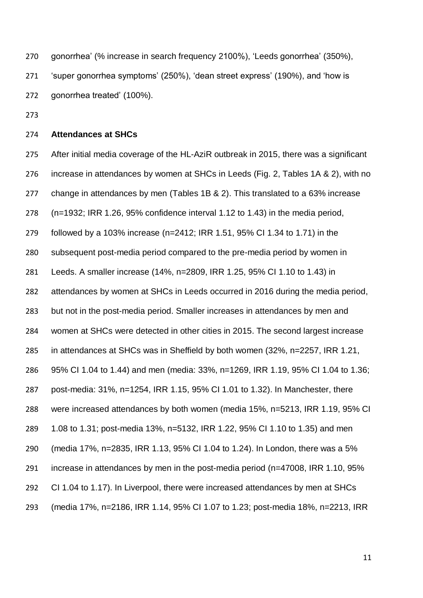gonorrhea' (% increase in search frequency 2100%), 'Leeds gonorrhea' (350%), 'super gonorrhea symptoms' (250%), 'dean street express' (190%), and 'how is gonorrhea treated' (100%).

# **Attendances at SHCs**

 After initial media coverage of the HL-AziR outbreak in 2015, there was a significant increase in attendances by women at SHCs in Leeds (Fig. 2, Tables 1A & 2), with no change in attendances by men (Tables 1B & 2). This translated to a 63% increase (n=1932; IRR 1.26, 95% confidence interval 1.12 to 1.43) in the media period, followed by a 103% increase (n=2412; IRR 1.51, 95% CI 1.34 to 1.71) in the subsequent post-media period compared to the pre-media period by women in Leeds. A smaller increase (14%, n=2809, IRR 1.25, 95% CI 1.10 to 1.43) in attendances by women at SHCs in Leeds occurred in 2016 during the media period, but not in the post-media period. Smaller increases in attendances by men and women at SHCs were detected in other cities in 2015. The second largest increase in attendances at SHCs was in Sheffield by both women (32%, n=2257, IRR 1.21, 95% CI 1.04 to 1.44) and men (media: 33%, n=1269, IRR 1.19, 95% CI 1.04 to 1.36; post-media: 31%, n=1254, IRR 1.15, 95% CI 1.01 to 1.32). In Manchester, there were increased attendances by both women (media 15%, n=5213, IRR 1.19, 95% CI 1.08 to 1.31; post-media 13%, n=5132, IRR 1.22, 95% CI 1.10 to 1.35) and men (media 17%, n=2835, IRR 1.13, 95% CI 1.04 to 1.24). In London, there was a 5% increase in attendances by men in the post-media period (n=47008, IRR 1.10, 95% CI 1.04 to 1.17). In Liverpool, there were increased attendances by men at SHCs (media 17%, n=2186, IRR 1.14, 95% CI 1.07 to 1.23; post-media 18%, n=2213, IRR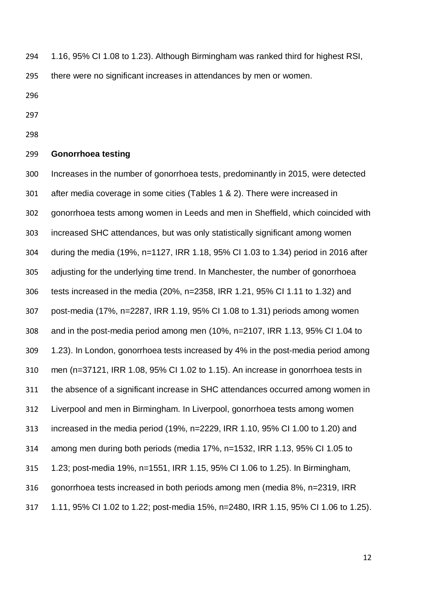1.16, 95% CI 1.08 to 1.23). Although Birmingham was ranked third for highest RSI,

there were no significant increases in attendances by men or women.

- 
- 
- 

# **Gonorrhoea testing**

 Increases in the number of gonorrhoea tests, predominantly in 2015, were detected after media coverage in some cities (Tables 1 & 2). There were increased in gonorrhoea tests among women in Leeds and men in Sheffield, which coincided with increased SHC attendances, but was only statistically significant among women during the media (19%, n=1127, IRR 1.18, 95% CI 1.03 to 1.34) period in 2016 after adjusting for the underlying time trend. In Manchester, the number of gonorrhoea tests increased in the media (20%, n=2358, IRR 1.21, 95% CI 1.11 to 1.32) and post-media (17%, n=2287, IRR 1.19, 95% CI 1.08 to 1.31) periods among women and in the post-media period among men (10%, n=2107, IRR 1.13, 95% CI 1.04 to 1.23). In London, gonorrhoea tests increased by 4% in the post-media period among men (n=37121, IRR 1.08, 95% CI 1.02 to 1.15). An increase in gonorrhoea tests in the absence of a significant increase in SHC attendances occurred among women in Liverpool and men in Birmingham. In Liverpool, gonorrhoea tests among women increased in the media period (19%, n=2229, IRR 1.10, 95% CI 1.00 to 1.20) and among men during both periods (media 17%, n=1532, IRR 1.13, 95% CI 1.05 to 1.23; post-media 19%, n=1551, IRR 1.15, 95% CI 1.06 to 1.25). In Birmingham, gonorrhoea tests increased in both periods among men (media 8%, n=2319, IRR 1.11, 95% CI 1.02 to 1.22; post-media 15%, n=2480, IRR 1.15, 95% CI 1.06 to 1.25).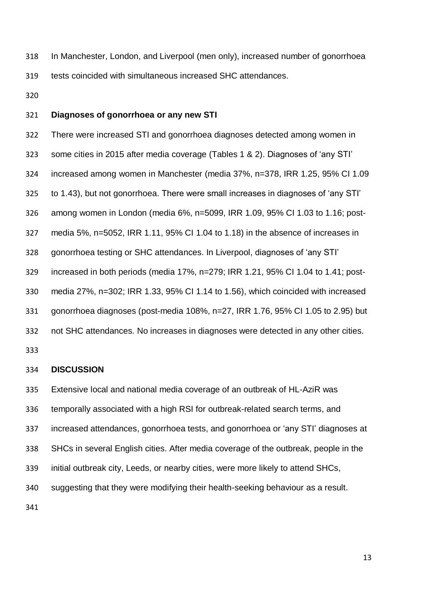In Manchester, London, and Liverpool (men only), increased number of gonorrhoea tests coincided with simultaneous increased SHC attendances.

## **Diagnoses of gonorrhoea or any new STI**

 There were increased STI and gonorrhoea diagnoses detected among women in some cities in 2015 after media coverage (Tables 1 & 2). Diagnoses of 'any STI' increased among women in Manchester (media 37%, n=378, IRR 1.25, 95% CI 1.09 to 1.43), but not gonorrhoea. There were small increases in diagnoses of 'any STI' among women in London (media 6%, n=5099, IRR 1.09, 95% CI 1.03 to 1.16; post- media 5%, n=5052, IRR 1.11, 95% CI 1.04 to 1.18) in the absence of increases in gonorrhoea testing or SHC attendances. In Liverpool, diagnoses of 'any STI' increased in both periods (media 17%, n=279; IRR 1.21, 95% CI 1.04 to 1.41; post- media 27%, n=302; IRR 1.33, 95% CI 1.14 to 1.56), which coincided with increased gonorrhoea diagnoses (post-media 108%, n=27, IRR 1.76, 95% CI 1.05 to 2.95) but not SHC attendances. No increases in diagnoses were detected in any other cities.

#### **DISCUSSION**

 Extensive local and national media coverage of an outbreak of HL-AziR was temporally associated with a high RSI for outbreak-related search terms, and increased attendances, gonorrhoea tests, and gonorrhoea or 'any STI' diagnoses at SHCs in several English cities. After media coverage of the outbreak, people in the initial outbreak city, Leeds, or nearby cities, were more likely to attend SHCs, suggesting that they were modifying their health-seeking behaviour as a result.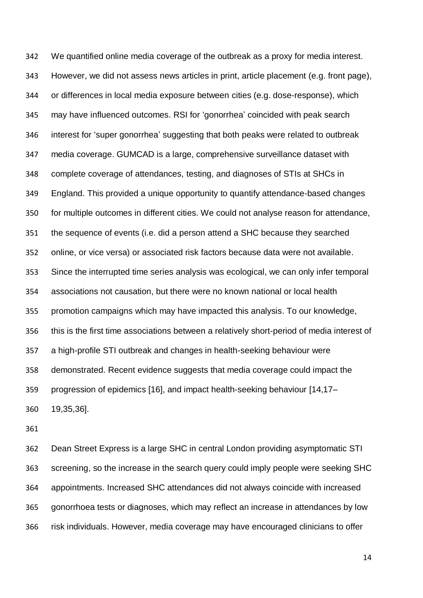We quantified online media coverage of the outbreak as a proxy for media interest. However, we did not assess news articles in print, article placement (e.g. front page), or differences in local media exposure between cities (e.g. dose-response), which may have influenced outcomes. RSI for 'gonorrhea' coincided with peak search interest for 'super gonorrhea' suggesting that both peaks were related to outbreak media coverage. GUMCAD is a large, comprehensive surveillance dataset with complete coverage of attendances, testing, and diagnoses of STIs at SHCs in England. This provided a unique opportunity to quantify attendance-based changes for multiple outcomes in different cities. We could not analyse reason for attendance, the sequence of events (i.e. did a person attend a SHC because they searched online, or vice versa) or associated risk factors because data were not available. Since the interrupted time series analysis was ecological, we can only infer temporal associations not causation, but there were no known national or local health promotion campaigns which may have impacted this analysis. To our knowledge, this is the first time associations between a relatively short-period of media interest of a high-profile STI outbreak and changes in health-seeking behaviour were demonstrated. Recent evidence suggests that media coverage could impact the progression of epidemics [16], and impact health-seeking behaviour [14,17– 19,35,36].

 Dean Street Express is a large SHC in central London providing asymptomatic STI screening, so the increase in the search query could imply people were seeking SHC appointments. Increased SHC attendances did not always coincide with increased gonorrhoea tests or diagnoses, which may reflect an increase in attendances by low risk individuals. However, media coverage may have encouraged clinicians to offer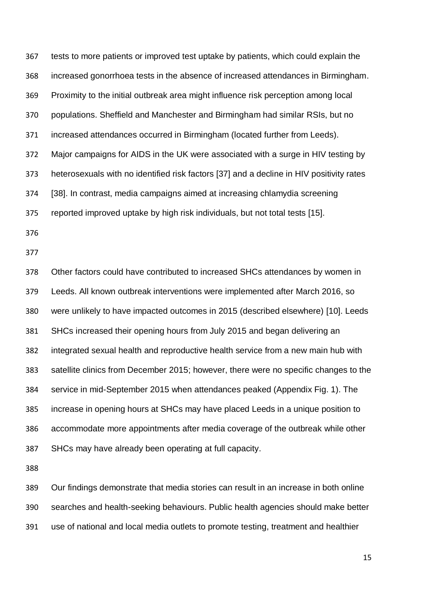tests to more patients or improved test uptake by patients, which could explain the increased gonorrhoea tests in the absence of increased attendances in Birmingham. Proximity to the initial outbreak area might influence risk perception among local populations. Sheffield and Manchester and Birmingham had similar RSIs, but no increased attendances occurred in Birmingham (located further from Leeds). Major campaigns for AIDS in the UK were associated with a surge in HIV testing by heterosexuals with no identified risk factors [37] and a decline in HIV positivity rates [38]. In contrast, media campaigns aimed at increasing chlamydia screening reported improved uptake by high risk individuals, but not total tests [15].

 Other factors could have contributed to increased SHCs attendances by women in Leeds. All known outbreak interventions were implemented after March 2016, so were unlikely to have impacted outcomes in 2015 (described elsewhere) [10]. Leeds SHCs increased their opening hours from July 2015 and began delivering an integrated sexual health and reproductive health service from a new main hub with satellite clinics from December 2015; however, there were no specific changes to the service in mid-September 2015 when attendances peaked (Appendix Fig. 1). The increase in opening hours at SHCs may have placed Leeds in a unique position to accommodate more appointments after media coverage of the outbreak while other SHCs may have already been operating at full capacity.

 Our findings demonstrate that media stories can result in an increase in both online searches and health-seeking behaviours. Public health agencies should make better use of national and local media outlets to promote testing, treatment and healthier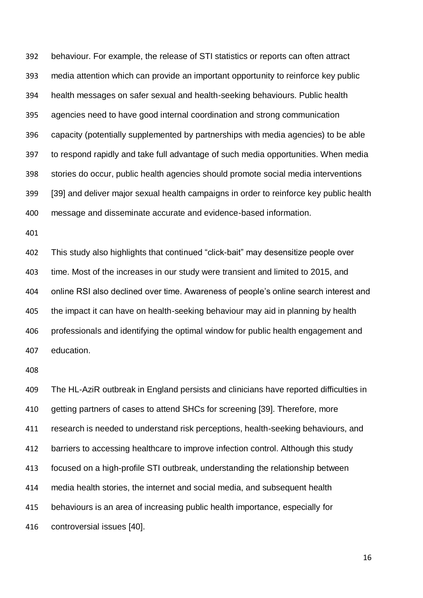behaviour. For example, the release of STI statistics or reports can often attract media attention which can provide an important opportunity to reinforce key public health messages on safer sexual and health-seeking behaviours. Public health agencies need to have good internal coordination and strong communication capacity (potentially supplemented by partnerships with media agencies) to be able to respond rapidly and take full advantage of such media opportunities. When media stories do occur, public health agencies should promote social media interventions [39] and deliver major sexual health campaigns in order to reinforce key public health message and disseminate accurate and evidence-based information.

 This study also highlights that continued "click-bait" may desensitize people over time. Most of the increases in our study were transient and limited to 2015, and online RSI also declined over time. Awareness of people's online search interest and the impact it can have on health-seeking behaviour may aid in planning by health professionals and identifying the optimal window for public health engagement and education.

 The HL-AziR outbreak in England persists and clinicians have reported difficulties in getting partners of cases to attend SHCs for screening [39]. Therefore, more research is needed to understand risk perceptions, health-seeking behaviours, and barriers to accessing healthcare to improve infection control. Although this study focused on a high-profile STI outbreak, understanding the relationship between media health stories, the internet and social media, and subsequent health behaviours is an area of increasing public health importance, especially for controversial issues [40].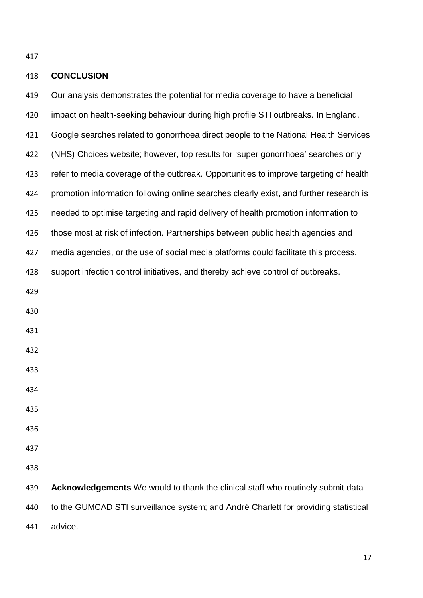# **CONCLUSION**

 Our analysis demonstrates the potential for media coverage to have a beneficial impact on health-seeking behaviour during high profile STI outbreaks. In England, Google searches related to gonorrhoea direct people to the National Health Services (NHS) Choices website; however, top results for 'super gonorrhoea' searches only refer to media coverage of the outbreak. Opportunities to improve targeting of health promotion information following online searches clearly exist, and further research is needed to optimise targeting and rapid delivery of health promotion information to those most at risk of infection. Partnerships between public health agencies and media agencies, or the use of social media platforms could facilitate this process, support infection control initiatives, and thereby achieve control of outbreaks. **Acknowledgements** We would to thank the clinical staff who routinely submit data to the GUMCAD STI surveillance system; and André Charlett for providing statistical advice.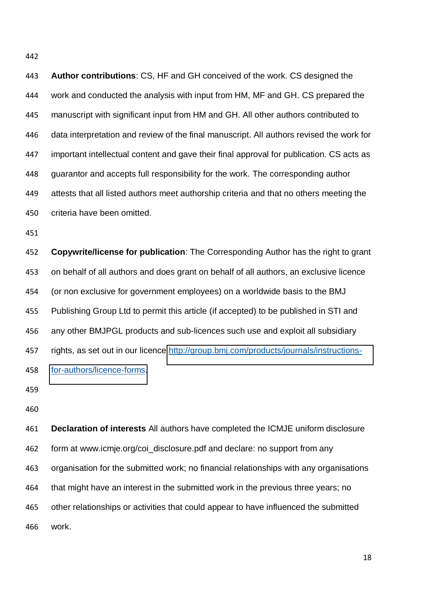**Author contributions**: CS, HF and GH conceived of the work. CS designed the work and conducted the analysis with input from HM, MF and GH. CS prepared the manuscript with significant input from HM and GH. All other authors contributed to data interpretation and review of the final manuscript. All authors revised the work for important intellectual content and gave their final approval for publication. CS acts as guarantor and accepts full responsibility for the work. The corresponding author attests that all listed authors meet authorship criteria and that no others meeting the criteria have been omitted.

 **Copywrite/license for publication**: The Corresponding Author has the right to grant on behalf of all authors and does grant on behalf of all authors, an exclusive licence (or non exclusive for government employees) on a worldwide basis to the BMJ Publishing Group Ltd to permit this article (if accepted) to be published in STI and any other BMJPGL products and sub-licences such use and exploit all subsidiary 457 rights, as set out in our licence [http://group.bmj.com/products/journals/instructions-](http://group.bmj.com/products/journals/instructions-for-authors/licence-forms)[for-authors/licence-forms.](http://group.bmj.com/products/journals/instructions-for-authors/licence-forms)

 **Declaration of interests** All authors have completed the ICMJE uniform disclosure form at www.icmje.org/coi\_disclosure.pdf and declare: no support from any organisation for the submitted work; no financial relationships with any organisations that might have an interest in the submitted work in the previous three years; no other relationships or activities that could appear to have influenced the submitted work.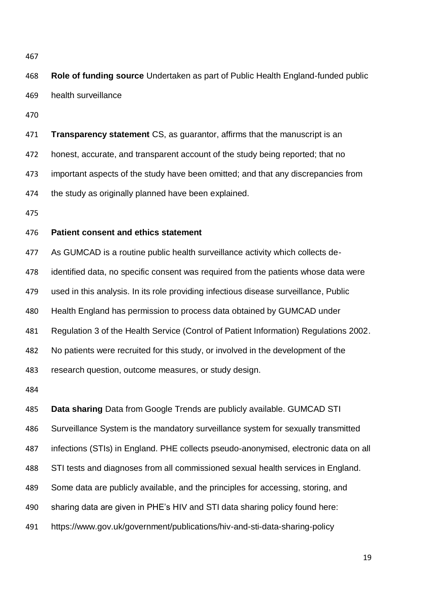**Role of funding source** Undertaken as part of Public Health England-funded public health surveillance

 **Transparency statement** CS, as guarantor, affirms that the manuscript is an honest, accurate, and transparent account of the study being reported; that no important aspects of the study have been omitted; and that any discrepancies from the study as originally planned have been explained.

## **Patient consent and ethics statement**

 As GUMCAD is a routine public health surveillance activity which collects de-identified data, no specific consent was required from the patients whose data were

used in this analysis. In its role providing infectious disease surveillance, Public

Health England has permission to process data obtained by GUMCAD under

Regulation 3 of the Health Service (Control of Patient Information) Regulations 2002.

No patients were recruited for this study, or involved in the development of the

research question, outcome measures, or study design.

**Data sharing** Data from Google Trends are publicly available. GUMCAD STI

Surveillance System is the mandatory surveillance system for sexually transmitted

infections (STIs) in England. PHE collects pseudo-anonymised, electronic data on all

STI tests and diagnoses from all commissioned sexual health services in England.

Some data are publicly available, and the principles for accessing, storing, and

sharing data are given in PHE's HIV and STI data sharing policy found here:

https://www.gov.uk/government/publications/hiv-and-sti-data-sharing-policy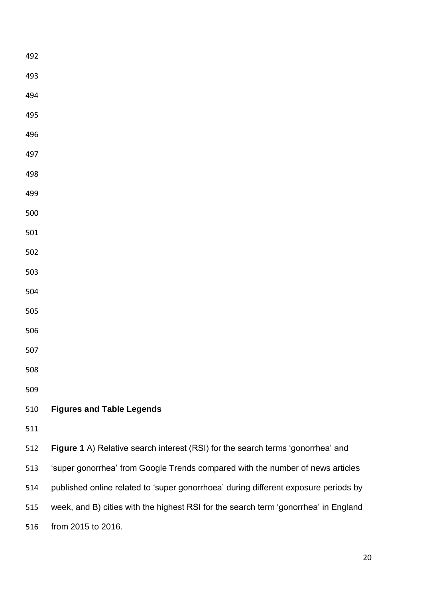| 492 |                                                                                     |
|-----|-------------------------------------------------------------------------------------|
| 493 |                                                                                     |
| 494 |                                                                                     |
| 495 |                                                                                     |
| 496 |                                                                                     |
| 497 |                                                                                     |
| 498 |                                                                                     |
| 499 |                                                                                     |
| 500 |                                                                                     |
| 501 |                                                                                     |
| 502 |                                                                                     |
| 503 |                                                                                     |
| 504 |                                                                                     |
| 505 |                                                                                     |
| 506 |                                                                                     |
| 507 |                                                                                     |
| 508 |                                                                                     |
| 509 |                                                                                     |
| 510 | <b>Figures and Table Legends</b>                                                    |
| 511 |                                                                                     |
| 512 | Figure 1 A) Relative search interest (RSI) for the search terms 'gonorrhea' and     |
| 513 | 'super gonorrhea' from Google Trends compared with the number of news articles      |
| 514 | published online related to 'super gonorrhoea' during different exposure periods by |
| 515 | week, and B) cities with the highest RSI for the search term 'gonorrhea' in England |
| 516 | from 2015 to 2016.                                                                  |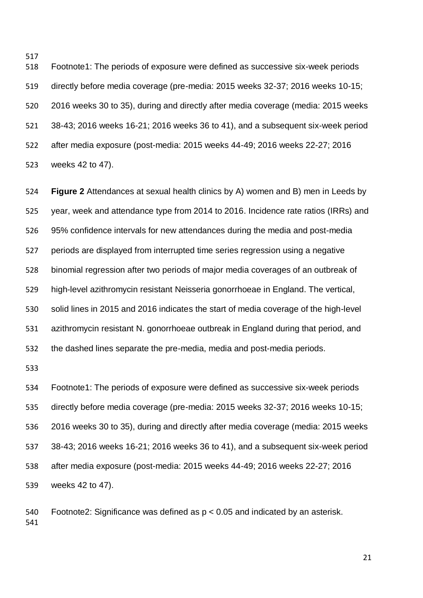Footnote1: The periods of exposure were defined as successive six-week periods directly before media coverage (pre-media: 2015 weeks 32-37; 2016 weeks 10-15; 2016 weeks 30 to 35), during and directly after media coverage (media: 2015 weeks 38-43; 2016 weeks 16-21; 2016 weeks 36 to 41), and a subsequent six-week period after media exposure (post-media: 2015 weeks 44-49; 2016 weeks 22-27; 2016 weeks 42 to 47).

 **Figure 2** Attendances at sexual health clinics by A) women and B) men in Leeds by year, week and attendance type from 2014 to 2016. Incidence rate ratios (IRRs) and 95% confidence intervals for new attendances during the media and post-media periods are displayed from interrupted time series regression using a negative binomial regression after two periods of major media coverages of an outbreak of high-level azithromycin resistant Neisseria gonorrhoeae in England. The vertical, solid lines in 2015 and 2016 indicates the start of media coverage of the high-level azithromycin resistant N. gonorrhoeae outbreak in England during that period, and the dashed lines separate the pre-media, media and post-media periods.

 Footnote1: The periods of exposure were defined as successive six-week periods directly before media coverage (pre-media: 2015 weeks 32-37; 2016 weeks 10-15; 2016 weeks 30 to 35), during and directly after media coverage (media: 2015 weeks 38-43; 2016 weeks 16-21; 2016 weeks 36 to 41), and a subsequent six-week period after media exposure (post-media: 2015 weeks 44-49; 2016 weeks 22-27; 2016 weeks 42 to 47).

540 Footnote2: Significance was defined as  $p < 0.05$  and indicated by an asterisk.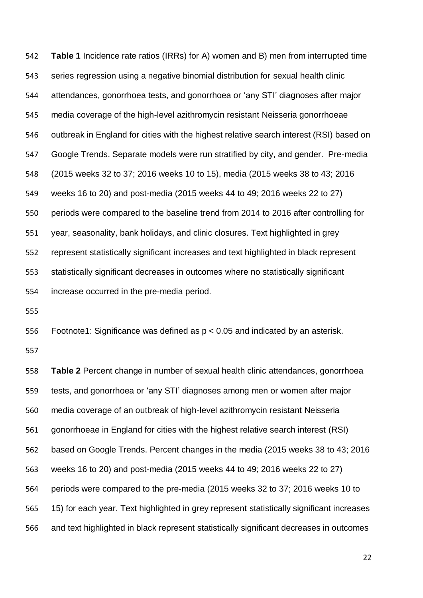**Table 1** Incidence rate ratios (IRRs) for A) women and B) men from interrupted time series regression using a negative binomial distribution for sexual health clinic attendances, gonorrhoea tests, and gonorrhoea or 'any STI' diagnoses after major media coverage of the high-level azithromycin resistant Neisseria gonorrhoeae outbreak in England for cities with the highest relative search interest (RSI) based on Google Trends. Separate models were run stratified by city, and gender. Pre-media (2015 weeks 32 to 37; 2016 weeks 10 to 15), media (2015 weeks 38 to 43; 2016 weeks 16 to 20) and post-media (2015 weeks 44 to 49; 2016 weeks 22 to 27) periods were compared to the baseline trend from 2014 to 2016 after controlling for year, seasonality, bank holidays, and clinic closures. Text highlighted in grey represent statistically significant increases and text highlighted in black represent statistically significant decreases in outcomes where no statistically significant increase occurred in the pre-media period.

556 Footnote1: Significance was defined as  $p < 0.05$  and indicated by an asterisk.

 **Table 2** Percent change in number of sexual health clinic attendances, gonorrhoea tests, and gonorrhoea or 'any STI' diagnoses among men or women after major media coverage of an outbreak of high-level azithromycin resistant Neisseria gonorrhoeae in England for cities with the highest relative search interest (RSI) based on Google Trends. Percent changes in the media (2015 weeks 38 to 43; 2016 weeks 16 to 20) and post-media (2015 weeks 44 to 49; 2016 weeks 22 to 27) periods were compared to the pre-media (2015 weeks 32 to 37; 2016 weeks 10 to 15) for each year. Text highlighted in grey represent statistically significant increases and text highlighted in black represent statistically significant decreases in outcomes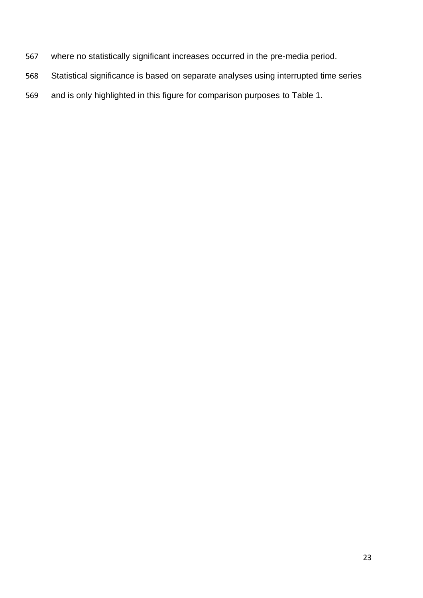- where no statistically significant increases occurred in the pre-media period.
- Statistical significance is based on separate analyses using interrupted time series
- and is only highlighted in this figure for comparison purposes to Table 1.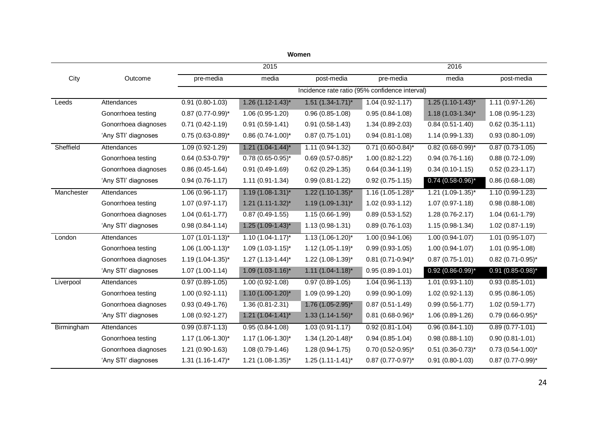|                      |                          | 2015                                           |                        |                       |                                 |                       |  |  |  |  |  |  |
|----------------------|--------------------------|------------------------------------------------|------------------------|-----------------------|---------------------------------|-----------------------|--|--|--|--|--|--|
| Outcome              | pre-media                | media                                          | post-media             | pre-media             | media                           | post-media            |  |  |  |  |  |  |
|                      |                          | Incidence rate ratio (95% confidence interval) |                        |                       |                                 |                       |  |  |  |  |  |  |
| Attendances          | $0.91(0.80-1.03)$        | $1.26(1.12-1.43)^{*}$                          | $1.51 (1.34 - 1.71)^*$ | $1.04(0.92 - 1.17)$   | $1.25$ (1.10-1.43)*             | $1.11(0.97-1.26)$     |  |  |  |  |  |  |
| Gonorrhoea testing   | $0.87$ (0.77-0.99)*      | $1.06(0.95-1.20)$                              | $0.96(0.85-1.08)$      | $0.95(0.84-1.08)$     | $1.18(1.03-1.34)^{*}$           | $1.08(0.95-1.23)$     |  |  |  |  |  |  |
| Gonorrhoea diagnoses | $0.71(0.42-1.19)$        | $0.91(0.59-1.41)$                              | $0.91(0.58-1.43)$      | $1.34(0.89-2.03)$     | $0.84(0.51-1.40)$               | $0.62(0.35-1.11)$     |  |  |  |  |  |  |
| 'Any STI' diagnoses  | $0.75$ (0.63-0.89)*      | $0.86$ (0.74-1.00)*                            | $0.87(0.75-1.01)$      | $0.94(0.81-1.08)$     | $1.14(0.99-1.33)$               | $0.93(0.80-1.09)$     |  |  |  |  |  |  |
| Attendances          | $1.09(0.92 - 1.29)$      | $1.21 (1.04 - 1.44)^*$                         | $1.11(0.94-1.32)$      | $0.71$ (0.60-0.84)*   | $0.82(0.68-0.99)^{*}$           | $0.87(0.73-1.05)$     |  |  |  |  |  |  |
| Gonorrhoea testing   | $0.64$ (0.53-0.79)*      | $0.78(0.65-0.95)^{*}$                          | $0.69(0.57 - 0.85)^*$  | $1.00(0.82 - 1.22)$   | $0.94(0.76-1.16)$               | $0.88(0.72 - 1.09)$   |  |  |  |  |  |  |
| Gonorrhoea diagnoses | $0.86(0.45-1.64)$        | $0.91(0.49-1.69)$                              | $0.62(0.29-1.35)$      | $0.64(0.34-1.19)$     | $0.34(0.10-1.15)$               | $0.52(0.23 - 1.17)$   |  |  |  |  |  |  |
| 'Any STI' diagnoses  | $0.94(0.76-1.17)$        | $1.11(0.91-1.34)$                              | $0.99(0.81-1.22)$      | $0.92(0.75-1.15)$     | $0.74$ (0.58-0.96)*             | $0.86(0.68-1.08)$     |  |  |  |  |  |  |
| Attendances          | $1.06(0.96 - 1.17)$      | $1.19(1.08-1.31)^{*}$                          | $1.22$ (1.10-1.35)*    | $1.16$ (1.05-1.28)*   | $1.21$ (1.09-1.35)*             | $1.10(0.99 - 1.23)$   |  |  |  |  |  |  |
| Gonorrhoea testing   | $1.07(0.97 - 1.17)$      | $1.21 (1.11 - 1.32)^*$                         | $1.19(1.09-1.31)^{*}$  | $1.02(0.93-1.12)$     | $1.07(0.97 - 1.18)$             | $0.98(0.88-1.08)$     |  |  |  |  |  |  |
| Gonorrhoea diagnoses | $1.04(0.61-1.77)$        | $0.87(0.49-1.55)$                              | $1.15(0.66-1.99)$      | $0.89(0.53-1.52)$     | $1.28(0.76-2.17)$               | $1.04(0.61-1.79)$     |  |  |  |  |  |  |
| 'Any STI' diagnoses  | $0.98(0.84 - 1.14)$      | $1.25(1.09-1.43)^{*}$                          | $1.13(0.98-1.31)$      | $0.89(0.76-1.03)$     | $1.15(0.98-1.34)$               | $1.02(0.87 - 1.19)$   |  |  |  |  |  |  |
| Attendances          | $1.07 (1.01 - 1.13)^{*}$ | $1.10(1.04-1.17)^{*}$                          | $1.13(1.06-1.20)^{*}$  | $1.00(0.94-1.06)$     | $1.00(0.94-1.07)$               | $1.01(0.95-1.07)$     |  |  |  |  |  |  |
| Gonorrhoea testing   | $1.06$ (1.00-1.13)*      | $1.09(1.03-1.15)^{*}$                          | $1.12$ (1.05-1.19)*    | $0.99(0.93-1.05)$     | $1.00(0.94-1.07)$               | $1.01(0.95-1.08)$     |  |  |  |  |  |  |
| Gonorrhoea diagnoses | $1.19(1.04-1.35)^{*}$    | $1.27(1.13-1.44)^{*}$                          | $1.22$ (1.08-1.39)*    | $0.81$ (0.71-0.94)*   | $0.87(0.75-1.01)$               | $0.82$ (0.71-0.95)*   |  |  |  |  |  |  |
| 'Any STI' diagnoses  | $1.07(1.00-1.14)$        | $1.09(1.03-1.16)^{*}$                          | $1.11(1.04-1.18)^{*}$  | $0.95(0.89-1.01)$     | $0.92$ (0.86-0.99)*             | $0.91$ (0.85-0.98)*   |  |  |  |  |  |  |
| Attendances          | $0.97(0.89-1.05)$        | $1.00(0.92 - 1.08)$                            | $0.97(0.89-1.05)$      | $1.04(0.96-1.13)$     | $1.01(0.93-1.10)$               | $0.93(0.85 - 1.01)$   |  |  |  |  |  |  |
| Gonorrhoea testing   | $1.00(0.92 - 1.11)$      | $1.10(1.00-1.20)^{*}$                          | $1.09(0.99-1.20)$      | $0.99(0.90-1.09)$     | $1.02(0.92 - 1.13)$             | $0.95(0.86-1.05)$     |  |  |  |  |  |  |
| Gonorrhoea diagnoses | $0.93(0.49-1.76)$        | $1.36(0.81 - 2.31)$                            | $1.76$ (1.05-2.95)*    | $0.87(0.51-1.49)$     | $0.99(0.56 - 1.77)$             | $1.02(0.59-1.77)$     |  |  |  |  |  |  |
| 'Any STI' diagnoses  | 1.08 (0.92-1.27)         | $1.21 (1.04 - 1.41)^*$                         | $1.33(1.14-1.56)^{*}$  | $0.81$ (0.68-0.96)*   | $1.06(0.89-1.26)$               | $0.79(0.66-0.95)^{*}$ |  |  |  |  |  |  |
| Attendances          | $0.99(0.87 - 1.13)$      | $0.95(0.84-1.08)$                              | $1.03(0.91 - 1.17)$    | $0.92(0.81 - 1.04)$   | $0.96(0.84 - 1.10)$             | $0.89(0.77-1.01)$     |  |  |  |  |  |  |
| Gonorrhoea testing   | $1.17(1.06-1.30)^{*}$    | $1.17(1.06-1.30)^{*}$                          | $1.34$ (1.20-1.48)*    | $0.94(0.85-1.04)$     | $0.98(0.88-1.10)$               | $0.90(0.81 - 1.01)$   |  |  |  |  |  |  |
| Gonorrhoea diagnoses | $1.21(0.90-1.63)$        | $1.08(0.79-1.46)$                              | $1.28(0.94-1.75)$      | $0.70(0.52-0.95)^{*}$ | $0.51$ (0.36-0.73) <sup>*</sup> | $0.73(0.54-1.00)^{*}$ |  |  |  |  |  |  |
| 'Any STI' diagnoses  | $1.31 (1.16 - 1.47)^*$   | $1.21$ (1.08-1.35)*                            | $1.25(1.11-1.41)^{*}$  | $0.87$ (0.77-0.97)*   | $0.91(0.80-1.03)$               | $0.87$ (0.77-0.99)*   |  |  |  |  |  |  |
|                      |                          |                                                |                        |                       |                                 | 2016                  |  |  |  |  |  |  |

**Women**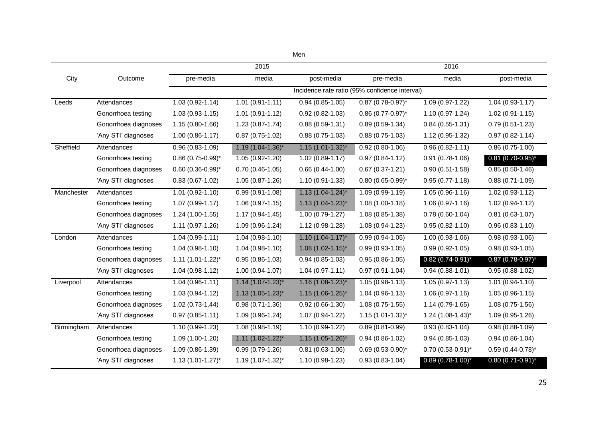|            |                      |                                                | 2015                     |                       | 2016                            |                         |                         |  |  |  |  |
|------------|----------------------|------------------------------------------------|--------------------------|-----------------------|---------------------------------|-------------------------|-------------------------|--|--|--|--|
| City       | Outcome              | pre-media                                      | media                    | post-media            | pre-media                       | media                   | post-media              |  |  |  |  |
|            |                      | Incidence rate ratio (95% confidence interval) |                          |                       |                                 |                         |                         |  |  |  |  |
| Leeds      | Attendances          | $1.03(0.92 - 1.14)$                            | $1.01(0.91-1.11)$        | $0.94(0.85-1.05)$     | $0.87$ (0.78-0.97)*             | 1.09 (0.97-1.22)        | $1.04(0.93-1.17)$       |  |  |  |  |
|            | Gonorrhoea testing   | $1.03(0.93-1.15)$                              | $1.01(0.91-1.12)$        | $0.92(0.82 - 1.03)$   | $0.86$ (0.77-0.97) <sup>*</sup> | $1.10(0.97-1.24)$       | $1.02(0.91-1.15)$       |  |  |  |  |
|            | Gonorrhoea diagnoses | $1.15(0.80-1.66)$                              | $1.23(0.87 - 1.74)$      | $0.88(0.59-1.31)$     | $0.89(0.59-1.34)$               | $0.84(0.55-1.31)$       | $0.79(0.51-1.23)$       |  |  |  |  |
|            | 'Any STI' diagnoses  | $1.00(0.86 - 1.17)$                            | $0.87(0.75-1.02)$        | $0.88(0.75-1.03)$     | $0.88(0.75-1.03)$               | 1.12 (0.95-1.32)        | $0.97(0.82 - 1.14)$     |  |  |  |  |
| Sheffield  | Attendances          | $0.96(0.83 - 1.09)$                            | $1.19(1.04-1.36)^{*}$    | $1.15(1.01-1.32)^{*}$ | $0.92(0.80-1.06)$               | $0.96(0.82 - 1.11)$     | $0.86(0.75-1.00)$       |  |  |  |  |
|            | Gonorrhoea testing   | $0.86$ (0.75-0.99)*                            | $1.05(0.92 - 1.20)$      | $1.02(0.89 - 1.17)$   | $0.97(0.84 - 1.12)$             | $0.91(0.78-1.06)$       | $0.81(0.70-0.95)^{*}$   |  |  |  |  |
|            | Gonorrhoea diagnoses | $0.60$ (0.36-0.99)*                            | $0.70(0.46-1.05)$        | $0.66(0.44-1.00)$     | $0.67(0.37-1.21)$               | $0.90(0.51-1.58)$       | $0.85(0.50-1.46)$       |  |  |  |  |
|            | 'Any STI' diagnoses  | $0.83(0.67-1.02)$                              | $1.05(0.87-1.26)$        | $1.10(0.91-1.33)$     | $0.80(0.65-0.99)^{*}$           | $0.95(0.77-1.18)$       | $0.88(0.71-1.09)$       |  |  |  |  |
| Manchester | Attendances          | $1.01(0.92 - 1.10)$                            | $0.99(0.91-1.08)$        | $1.13(1.04-1.24)^{*}$ | $1.09(0.99-1.19)$               | $1.05(0.96 - 1.16)$     | $1.02(0.93-1.12)$       |  |  |  |  |
|            | Gonorrhoea testing   | $1.07(0.99 - 1.17)$                            | $1.06(0.97-1.15)$        | $1.13(1.04-1.23)^{*}$ | $1.08(1.00-1.18)$               | $1.06(0.97-1.16)$       | $1.02(0.94 - 1.12)$     |  |  |  |  |
|            | Gonorrhoea diagnoses | $1.24(1.00-1.55)$                              | $1.17(0.94-1.45)$        | $1.00(0.79-1.27)$     | $1.08(0.85-1.38)$               | $0.78(0.60-1.04)$       | $0.81(0.63-1.07)$       |  |  |  |  |
|            | 'Any STI' diagnoses  | 1.11 (0.97-1.26)                               | $1.09(0.96-1.24)$        | 1.12 (0.98-1.28)      | $1.08(0.94-1.23)$               | $0.95(0.82 - 1.10)$     | $0.96(0.83 - 1.10)$     |  |  |  |  |
| London     | Attendances          | $1.04(0.99-1.11)$                              | $1.04(0.98-1.10)$        | $1.10(1.04-1.17)^{*}$ | $0.99(0.94-1.05)$               | $1.00(0.93-1.06)$       | $0.98(0.93-1.06)$       |  |  |  |  |
|            | Gonorrhoea testing   | $1.04(0.98-1.10)$                              | $1.04(0.98-1.10)$        | $1.08$ (1.02-1.15)*   | $0.99(0.93-1.05)$               | $0.99(0.92 - 1.05)$     | $0.98(0.93-1.05)$       |  |  |  |  |
|            | Gonorrhoea diagnoses | $1.11 (1.01 - 1.22)^*$                         | $0.95(0.86-1.03)$        | $0.94(0.85-1.03)$     | $0.95(0.86-1.05)$               | $0.82$ (0.74-0.91)*     | $0.87$ (0.78-0.97)*     |  |  |  |  |
|            | 'Any STI' diagnoses  | $1.04(0.98-1.12)$                              | $1.00(0.94-1.07)$        | $1.04(0.97-1.11)$     | $0.97(0.91-1.04)$               | $0.94(0.88-1.01)$       | $0.95(0.88-1.02)$       |  |  |  |  |
| Liverpool  | Attendances          | $1.04(0.96 - 1.11)$                            | $1.14(1.07-1.23)^{*}$    | $1.16(1.08-1.23)^{*}$ | $1.05(0.98-1.13)$               | $1.05(0.97 - 1.13)$     | $1.01(0.94 - 1.10)$     |  |  |  |  |
|            | Gonorrhoea testing   | $1.03(0.94-1.12)$                              | $1.13(1.05-1.23)^{*}$    | $1.15(1.06-1.25)^{*}$ | $1.04(0.96-1.13)$               | $1.06(0.97-1.16)$       | $1.05(0.96-1.15)$       |  |  |  |  |
|            | Gonorrhoea diagnoses | $1.02(0.73-1.44)$                              | $0.98(0.71-1.36)$        | $0.92(0.66-1.30)$     | $1.08(0.75-1.55)$               | $1.14(0.79-1.65)$       | $1.08(0.75-1.56)$       |  |  |  |  |
|            | 'Any STI' diagnoses  | $0.97(0.85-1.11)$                              | $1.09(0.96-1.24)$        | $1.07(0.94-1.22)$     | $1.15(1.01-1.32)^{*}$           | $1.24$ (1.08-1.43)*     | $1.09(0.95-1.26)$       |  |  |  |  |
| Birmingham | Attendances          | $1.10(0.99-1.23)$                              | $1.08(0.98-1.19)$        | $1.10(0.99-1.22)$     | $0.89(0.81 - 0.99)$             | $0.93(0.83 - 1.04)$     | $0.98(0.88-1.09)$       |  |  |  |  |
|            | Gonorrhoea testing   | $1.09(1.00-1.20)$                              | $1.11$ $(1.02 - 1.22)^*$ | $1.15(1.05-1.26)^{*}$ | $0.94(0.86-1.02)$               | $0.94(0.85-1.03)$       | $0.94(0.86 - 1.04)$     |  |  |  |  |
|            | Gonorrhoea diagnoses | 1.09 (0.86-1.39)                               | $0.99(0.79-1.26)$        | $0.81(0.63-1.06)$     | $0.69(0.53-0.90)^{*}$           | $0.70(0.53 - 0.91)^{*}$ | $0.59(0.44 - 0.78)^{*}$ |  |  |  |  |
|            | 'Any STI' diagnoses  | $1.13(1.01-1.27)^{*}$                          | $1.19(1.07-1.32)^{*}$    | 1.10 (0.98-1.23)      | $0.93(0.83 - 1.04)$             | $0.89(0.78-1.00)^{*}$   | $0.80(0.71-0.91)^{*}$   |  |  |  |  |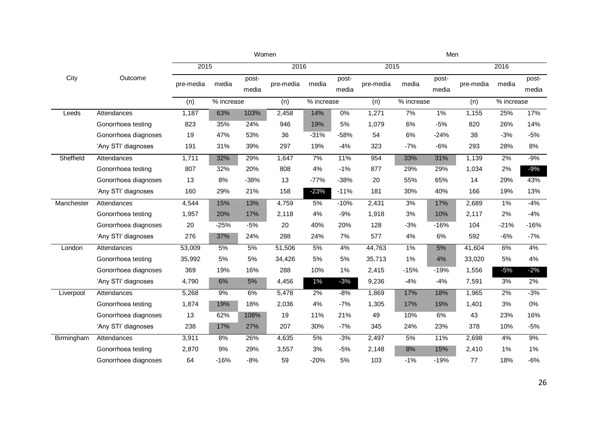|            |                      |           | Women  | Men            |           |            |                |           |            |                |           |            |                |
|------------|----------------------|-----------|--------|----------------|-----------|------------|----------------|-----------|------------|----------------|-----------|------------|----------------|
|            |                      |           | 2015   |                |           | 2016       |                | 2015      |            |                |           | 2016       |                |
| City       | Outcome              | pre-media | media  | post-<br>media | pre-media | media      | post-<br>media | pre-media | media      | post-<br>media | pre-media | media      | post-<br>media |
|            |                      | (n)       |        | % increase     |           | % increase |                | (n)       | % increase |                | (n)       | % increase |                |
| Leeds      | Attendances          | 1,187     | 63%    | 103%           | 2,458     | 14%        | $0\%$          | 1,271     | 7%         | $1\%$          | 1,155     | 25%        | 17%            |
|            | Gonorrhoea testing   | 823       | 35%    | 24%            | 946       | 19%        | 5%             | 1,079     | $6\%$      | $-5%$          | 820       | 26%        | 14%            |
|            | Gonorrhoea diagnoses | 19        | 47%    | 53%            | 36        | $-31%$     | $-58%$         | 54        | 6%         | $-24%$         | 38        | $-3%$      | $-5%$          |
|            | 'Any STI' diagnoses  | 191       | 31%    | 39%            | 297       | 19%        | $-4%$          | 323       | $-7%$      | $-6%$          | 293       | 28%        | 8%             |
| Sheffield  | Attendances          | 1,711     | 32%    | 29%            | 1,647     | 7%         | 11%            | 954       | 33%        | 31%            | 1,139     | 2%         | $-9%$          |
|            | Gonorrhoea testing   | 807       | 32%    | 20%            | 808       | 4%         | $-1%$          | 877       | 29%        | 29%            | 1,034     | 2%         | $-9%$          |
|            | Gonorrhoea diagnoses | 13        | 8%     | $-38%$         | 13        | $-77%$     | $-38%$         | 20        | 55%        | 65%            | 14        | 29%        | 43%            |
|            | 'Any STI' diagnoses  | 160       | 29%    | 21%            | 158       | $-23%$     | $-11%$         | 181       | 30%        | 40%            | 166       | 19%        | 13%            |
| Manchester | Attendances          | 4,544     | 15%    | 13%            | 4,759     | 5%         | $-10%$         | 2,431     | 3%         | 17%            | 2,689     | 1%         | $-4%$          |
|            | Gonorrhoea testing   | 1,957     | 20%    | 17%            | 2,118     | 4%         | $-9%$          | 1,918     | 3%         | 10%            | 2,117     | 2%         | $-4%$          |
|            | Gonorrhoea diagnoses | 20        | $-25%$ | $-5%$          | 20        | 40%        | 20%            | 128       | $-3%$      | $-16%$         | 104       | $-21%$     | $-16%$         |
|            | 'Any STI' diagnoses  | 276       | 37%    | 24%            | 288       | 24%        | 7%             | 577       | 4%         | 6%             | 592       | -6%        | $-7%$          |
| London     | Attendances          | 53,009    | 5%     | 5%             | 51,506    | 5%         | 4%             | 44,763    | $1\%$      | 5%             | 41,604    | 6%         | 4%             |
|            | Gonorrhoea testing   | 35,992    | 5%     | 5%             | 34,426    | 5%         | 5%             | 35,713    | 1%         | 4%             | 33,020    | 5%         | 4%             |
|            | Gonorrhoea diagnoses | 369       | 19%    | 16%            | 288       | 10%        | 1%             | 2,415     | $-15%$     | $-19%$         | 1,556     | $-5%$      | $-2%$          |
|            | 'Any STI' diagnoses  | 4,790     | 6%     | $5%$           | 4,456     | $1\%$      | $-3%$          | 9,236     | $-4%$      | $-4%$          | 7,591     | 3%         | $2\%$          |
| Liverpool  | Attendances          | 5,268     | 9%     | 6%             | 5,478     | 2%         | $-8%$          | 1,869     | 17%        | 18%            | 1,965     | 2%         | $-3%$          |
|            | Gonorrhoea testing   | 1,874     | 19%    | 18%            | 2,036     | 4%         | $-7%$          | 1,305     | 17%        | 19%            | 1,401     | 3%         | $0\%$          |
|            | Gonorrhoea diagnoses | 13        | 62%    | 108%           | 19        | 11%        | 21%            | 49        | 10%        | 6%             | 43        | 23%        | 16%            |
|            | 'Any STI' diagnoses  | 238       | 17%    | 27%            | 207       | 30%        | $-7%$          | 345       | 24%        | 23%            | 378       | 10%        | -5%            |
| Birmingham | Attendances          | 3,911     | 8%     | 26%            | 4,635     | 5%         | $-3%$          | 2,497     | 5%         | 11%            | 2,698     | 4%         | 9%             |
|            | Gonorrhoea testing   | 2,870     | 9%     | 29%            | 3,557     | 3%         | $-5%$          | 2,148     | 8%         | 15%            | 2,410     | 1%         | 1%             |
|            | Gonorrhoea diagnoses | 64        | $-16%$ | $-8%$          | 59        | $-20%$     | 5%             | 103       | $-1%$      | $-19%$         | 77        | 18%        | $-6%$          |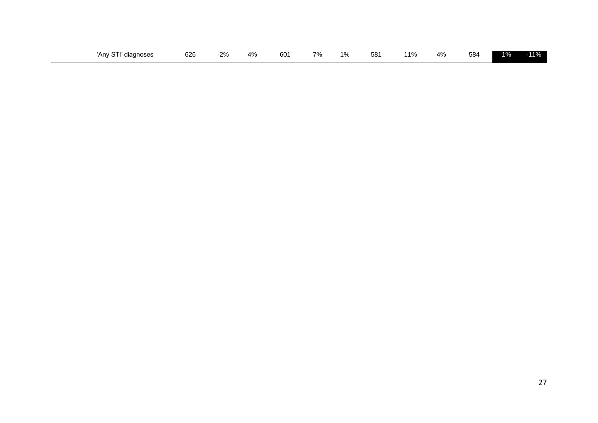| $\sim$ $\sim$ $\sim$<br>diagnoses<br>Anv S<br>ັ<br>. . | 626 | 00/<br>270 | $\Delta^{0}$<br>+ 70 | 60 <sup>2</sup> | 70/ | $1\%$ | 581<br>ັບ | 110/ | 4% | 584 | 40/<br>- 70 | $-40L$<br><b>70</b> |
|--------------------------------------------------------|-----|------------|----------------------|-----------------|-----|-------|-----------|------|----|-----|-------------|---------------------|
|--------------------------------------------------------|-----|------------|----------------------|-----------------|-----|-------|-----------|------|----|-----|-------------|---------------------|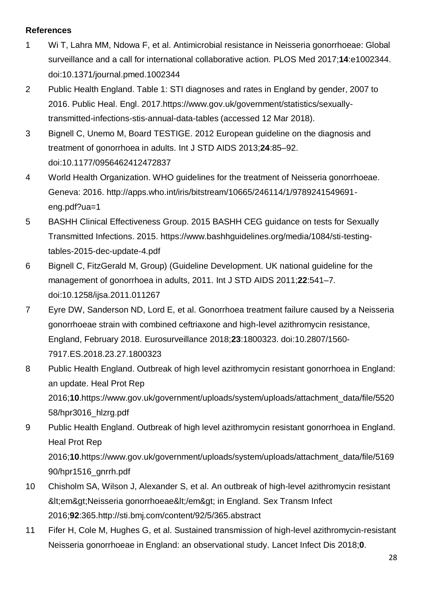# **References**

- 1 Wi T, Lahra MM, Ndowa F, et al. Antimicrobial resistance in Neisseria gonorrhoeae: Global surveillance and a call for international collaborative action. PLOS Med 2017;**14**:e1002344. doi:10.1371/journal.pmed.1002344
- 2 Public Health England. Table 1: STI diagnoses and rates in England by gender, 2007 to 2016. Public Heal. Engl. 2017.https://www.gov.uk/government/statistics/sexuallytransmitted-infections-stis-annual-data-tables (accessed 12 Mar 2018).
- 3 Bignell C, Unemo M, Board TESTIGE. 2012 European guideline on the diagnosis and treatment of gonorrhoea in adults. Int J STD AIDS 2013;**24**:85–92. doi:10.1177/0956462412472837
- 4 World Health Organization. WHO guidelines for the treatment of Neisseria gonorrhoeae. Geneva: 2016. http://apps.who.int/iris/bitstream/10665/246114/1/9789241549691 eng.pdf?ua=1
- 5 BASHH Clinical Effectiveness Group. 2015 BASHH CEG guidance on tests for Sexually Transmitted Infections. 2015. https://www.bashhguidelines.org/media/1084/sti-testingtables-2015-dec-update-4.pdf
- 6 Bignell C, FitzGerald M, Group) (Guideline Development. UK national guideline for the management of gonorrhoea in adults, 2011. Int J STD AIDS 2011;**22**:541–7. doi:10.1258/ijsa.2011.011267
- 7 Eyre DW, Sanderson ND, Lord E, et al. Gonorrhoea treatment failure caused by a Neisseria gonorrhoeae strain with combined ceftriaxone and high-level azithromycin resistance, England, February 2018. Eurosurveillance 2018;**23**:1800323. doi:10.2807/1560- 7917.ES.2018.23.27.1800323
- 8 Public Health England. Outbreak of high level azithromycin resistant gonorrhoea in England: an update. Heal Prot Rep 2016;**10**.https://www.gov.uk/government/uploads/system/uploads/attachment\_data/file/5520 58/hpr3016\_hlzrg.pdf
- 9 Public Health England. Outbreak of high level azithromycin resistant gonorrhoea in England. Heal Prot Rep 2016;**10**.https://www.gov.uk/government/uploads/system/uploads/attachment\_data/file/5169 90/hpr1516\_gnrrh.pdf
- 10 Chisholm SA, Wilson J, Alexander S, et al. An outbreak of high-level azithromycin resistant &It;em>Neisseria gonorrhoeae&It;/em> in England. Sex Transm Infect 2016;**92**:365.http://sti.bmj.com/content/92/5/365.abstract
- 11 Fifer H, Cole M, Hughes G, et al. Sustained transmission of high-level azithromycin-resistant Neisseria gonorrhoeae in England: an observational study. Lancet Infect Dis 2018;**0**.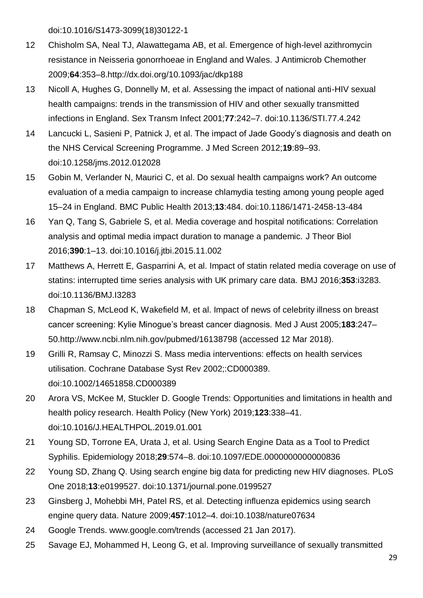doi:10.1016/S1473-3099(18)30122-1

- 12 Chisholm SA, Neal TJ, Alawattegama AB, et al. Emergence of high-level azithromycin resistance in Neisseria gonorrhoeae in England and Wales. J Antimicrob Chemother 2009;**64**:353–8.http://dx.doi.org/10.1093/jac/dkp188
- 13 Nicoll A, Hughes G, Donnelly M, et al. Assessing the impact of national anti-HIV sexual health campaigns: trends in the transmission of HIV and other sexually transmitted infections in England. Sex Transm Infect 2001;**77**:242–7. doi:10.1136/STI.77.4.242
- 14 Lancucki L, Sasieni P, Patnick J, et al. The impact of Jade Goody's diagnosis and death on the NHS Cervical Screening Programme. J Med Screen 2012;**19**:89–93. doi:10.1258/jms.2012.012028
- 15 Gobin M, Verlander N, Maurici C, et al. Do sexual health campaigns work? An outcome evaluation of a media campaign to increase chlamydia testing among young people aged 15–24 in England. BMC Public Health 2013;**13**:484. doi:10.1186/1471-2458-13-484
- 16 Yan Q, Tang S, Gabriele S, et al. Media coverage and hospital notifications: Correlation analysis and optimal media impact duration to manage a pandemic. J Theor Biol 2016;**390**:1–13. doi:10.1016/j.jtbi.2015.11.002
- 17 Matthews A, Herrett E, Gasparrini A, et al. Impact of statin related media coverage on use of statins: interrupted time series analysis with UK primary care data. BMJ 2016;**353**:i3283. doi:10.1136/BMJ.I3283
- 18 Chapman S, McLeod K, Wakefield M, et al. Impact of news of celebrity illness on breast cancer screening: Kylie Minogue's breast cancer diagnosis. Med J Aust 2005;**183**:247– 50.http://www.ncbi.nlm.nih.gov/pubmed/16138798 (accessed 12 Mar 2018).
- 19 Grilli R, Ramsay C, Minozzi S. Mass media interventions: effects on health services utilisation. Cochrane Database Syst Rev 2002;:CD000389. doi:10.1002/14651858.CD000389
- 20 Arora VS, McKee M, Stuckler D. Google Trends: Opportunities and limitations in health and health policy research. Health Policy (New York) 2019;**123**:338–41. doi:10.1016/J.HEALTHPOL.2019.01.001
- 21 Young SD, Torrone EA, Urata J, et al. Using Search Engine Data as a Tool to Predict Syphilis. Epidemiology 2018;**29**:574–8. doi:10.1097/EDE.0000000000000836
- 22 Young SD, Zhang Q. Using search engine big data for predicting new HIV diagnoses. PLoS One 2018;**13**:e0199527. doi:10.1371/journal.pone.0199527
- 23 Ginsberg J, Mohebbi MH, Patel RS, et al. Detecting influenza epidemics using search engine query data. Nature 2009;**457**:1012–4. doi:10.1038/nature07634
- 24 Google Trends. www.google.com/trends (accessed 21 Jan 2017).
- 25 Savage EJ, Mohammed H, Leong G, et al. Improving surveillance of sexually transmitted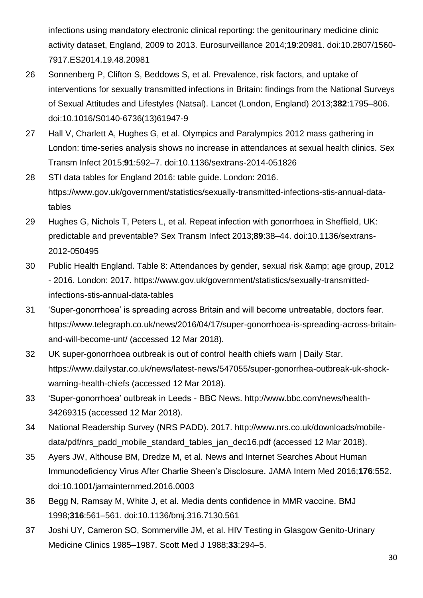infections using mandatory electronic clinical reporting: the genitourinary medicine clinic activity dataset, England, 2009 to 2013. Eurosurveillance 2014;**19**:20981. doi:10.2807/1560- 7917.ES2014.19.48.20981

- 26 Sonnenberg P, Clifton S, Beddows S, et al. Prevalence, risk factors, and uptake of interventions for sexually transmitted infections in Britain: findings from the National Surveys of Sexual Attitudes and Lifestyles (Natsal). Lancet (London, England) 2013;**382**:1795–806. doi:10.1016/S0140-6736(13)61947-9
- 27 Hall V, Charlett A, Hughes G, et al. Olympics and Paralympics 2012 mass gathering in London: time-series analysis shows no increase in attendances at sexual health clinics. Sex Transm Infect 2015;**91**:592–7. doi:10.1136/sextrans-2014-051826
- 28 STI data tables for England 2016: table guide. London: 2016. https://www.gov.uk/government/statistics/sexually-transmitted-infections-stis-annual-datatables
- 29 Hughes G, Nichols T, Peters L, et al. Repeat infection with gonorrhoea in Sheffield, UK: predictable and preventable? Sex Transm Infect 2013;**89**:38–44. doi:10.1136/sextrans-2012-050495
- 30 Public Health England. Table 8: Attendances by gender, sexual risk & amp; age group, 2012 - 2016. London: 2017. https://www.gov.uk/government/statistics/sexually-transmittedinfections-stis-annual-data-tables
- 31 'Super-gonorrhoea' is spreading across Britain and will become untreatable, doctors fear. https://www.telegraph.co.uk/news/2016/04/17/super-gonorrhoea-is-spreading-across-britainand-will-become-unt/ (accessed 12 Mar 2018).
- 32 UK super-gonorrhoea outbreak is out of control health chiefs warn | Daily Star. https://www.dailystar.co.uk/news/latest-news/547055/super-gonorrhea-outbreak-uk-shockwarning-health-chiefs (accessed 12 Mar 2018).
- 33 'Super-gonorrhoea' outbreak in Leeds BBC News. http://www.bbc.com/news/health-34269315 (accessed 12 Mar 2018).
- 34 National Readership Survey (NRS PADD). 2017. http://www.nrs.co.uk/downloads/mobiledata/pdf/nrs\_padd\_mobile\_standard\_tables\_jan\_dec16.pdf (accessed 12 Mar 2018).
- 35 Ayers JW, Althouse BM, Dredze M, et al. News and Internet Searches About Human Immunodeficiency Virus After Charlie Sheen's Disclosure. JAMA Intern Med 2016;**176**:552. doi:10.1001/jamainternmed.2016.0003
- 36 Begg N, Ramsay M, White J, et al. Media dents confidence in MMR vaccine. BMJ 1998;**316**:561–561. doi:10.1136/bmj.316.7130.561
- 37 Joshi UY, Cameron SO, Sommerville JM, et al. HIV Testing in Glasgow Genito-Urinary Medicine Clinics 1985–1987. Scott Med J 1988;**33**:294–5.